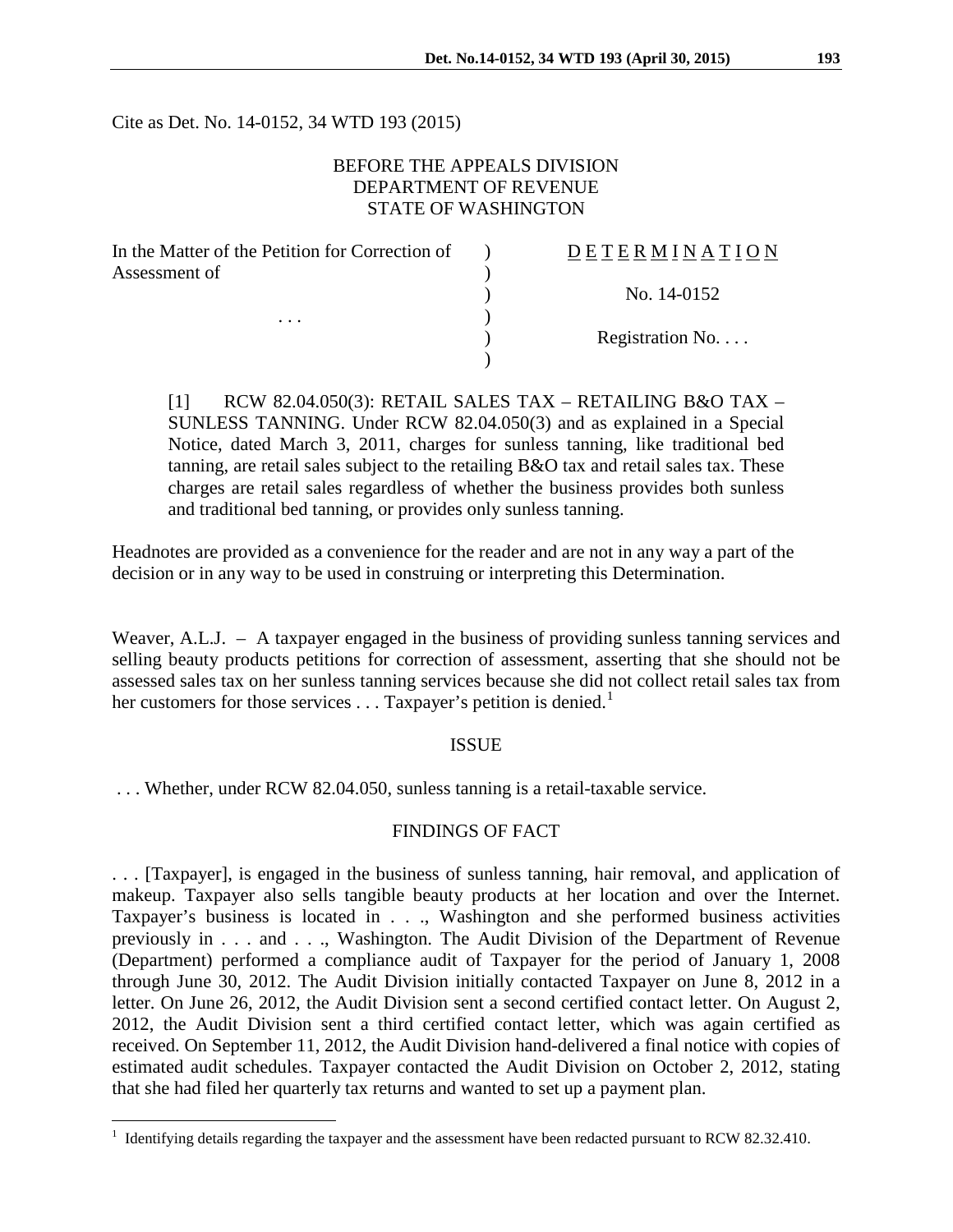Cite as Det. No. 14-0152, 34 WTD 193 (2015)

# BEFORE THE APPEALS DIVISION DEPARTMENT OF REVENUE STATE OF WASHINGTON

| In the Matter of the Petition for Correction of | DETERMINATION   |
|-------------------------------------------------|-----------------|
| Assessment of<br>$\cdots$                       |                 |
|                                                 | No. 14-0152     |
|                                                 |                 |
|                                                 | Registration No |
|                                                 |                 |

[1] RCW 82.04.050(3): RETAIL SALES TAX – RETAILING B&O TAX – SUNLESS TANNING. Under RCW 82.04.050(3) and as explained in a Special Notice, dated March 3, 2011, charges for sunless tanning, like traditional bed tanning, are retail sales subject to the retailing B&O tax and retail sales tax. These charges are retail sales regardless of whether the business provides both sunless and traditional bed tanning, or provides only sunless tanning.

Headnotes are provided as a convenience for the reader and are not in any way a part of the decision or in any way to be used in construing or interpreting this Determination.

Weaver, A.L.J. – A taxpayer engaged in the business of providing sunless tanning services and selling beauty products petitions for correction of assessment, asserting that she should not be assessed sales tax on her sunless tanning services because she did not collect retail sales tax from her customers for those services  $\dots$  Taxpayer's petition is denied.<sup>[1](#page-0-0)</sup>

#### ISSUE

. . . Whether, under RCW 82.04.050, sunless tanning is a retail-taxable service.

### FINDINGS OF FACT

. . . [Taxpayer], is engaged in the business of sunless tanning, hair removal, and application of makeup. Taxpayer also sells tangible beauty products at her location and over the Internet. Taxpayer's business is located in . . ., Washington and she performed business activities previously in . . . and . . ., Washington. The Audit Division of the Department of Revenue (Department) performed a compliance audit of Taxpayer for the period of January 1, 2008 through June 30, 2012. The Audit Division initially contacted Taxpayer on June 8, 2012 in a letter. On June 26, 2012, the Audit Division sent a second certified contact letter. On August 2, 2012, the Audit Division sent a third certified contact letter, which was again certified as received. On September 11, 2012, the Audit Division hand-delivered a final notice with copies of estimated audit schedules. Taxpayer contacted the Audit Division on October 2, 2012, stating that she had filed her quarterly tax returns and wanted to set up a payment plan.

 $\overline{a}$ 

<span id="page-0-0"></span><sup>&</sup>lt;sup>1</sup> Identifying details regarding the taxpayer and the assessment have been redacted pursuant to RCW 82.32.410.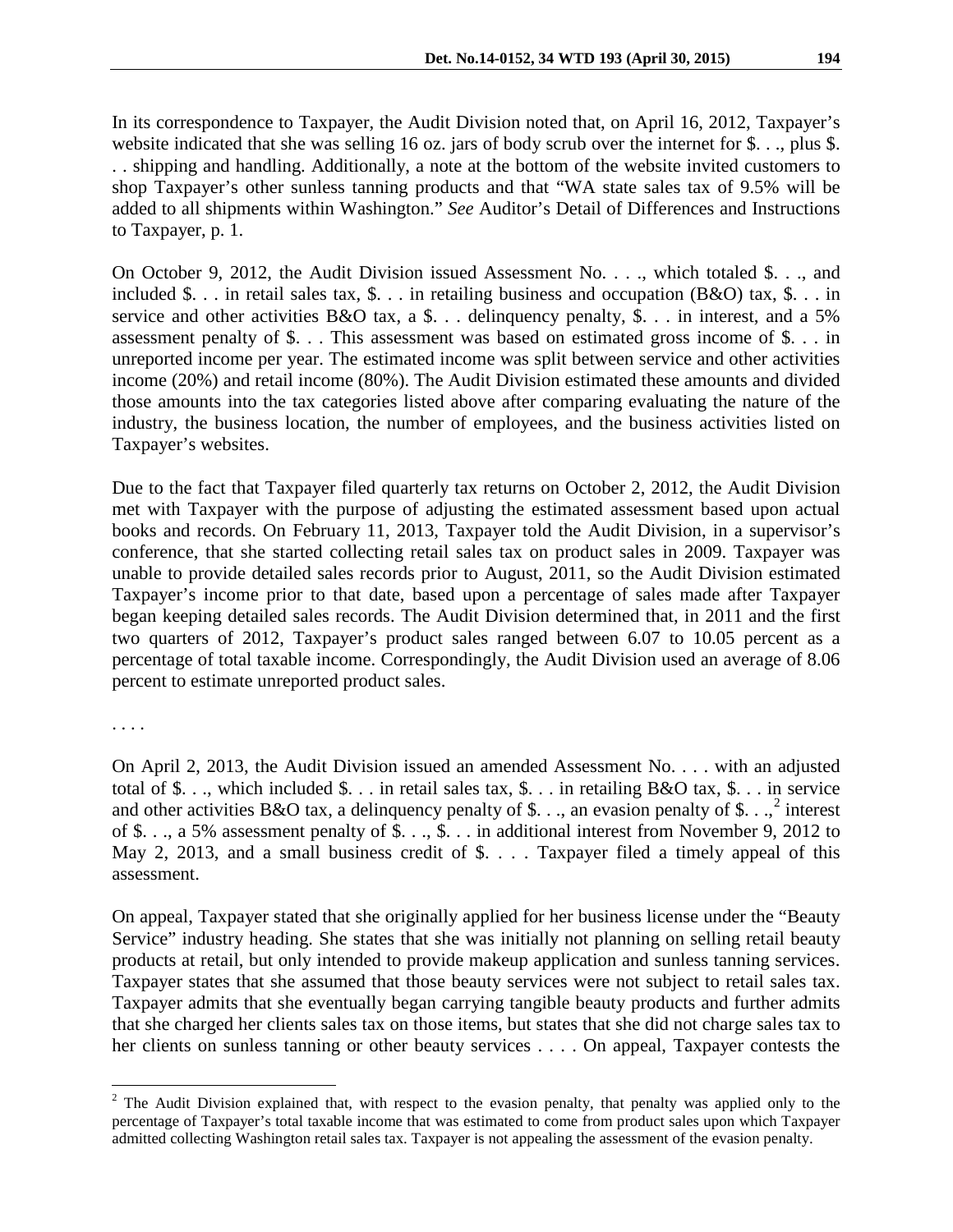In its correspondence to Taxpayer, the Audit Division noted that, on April 16, 2012, Taxpayer's website indicated that she was selling 16 oz. jars of body scrub over the internet for \$. . ., plus \$. . . shipping and handling. Additionally, a note at the bottom of the website invited customers to shop Taxpayer's other sunless tanning products and that "WA state sales tax of 9.5% will be added to all shipments within Washington." *See* Auditor's Detail of Differences and Instructions to Taxpayer, p. 1.

On October 9, 2012, the Audit Division issued Assessment No. . . ., which totaled \$. . ., and included \$. . . in retail sales tax, \$. . . in retailing business and occupation (B&O) tax, \$. . . in service and other activities B&O tax, a \$... delinquency penalty, \$... in interest, and a 5% assessment penalty of \$. . . This assessment was based on estimated gross income of \$. . . in unreported income per year. The estimated income was split between service and other activities income (20%) and retail income (80%). The Audit Division estimated these amounts and divided those amounts into the tax categories listed above after comparing evaluating the nature of the industry, the business location, the number of employees, and the business activities listed on Taxpayer's websites.

Due to the fact that Taxpayer filed quarterly tax returns on October 2, 2012, the Audit Division met with Taxpayer with the purpose of adjusting the estimated assessment based upon actual books and records. On February 11, 2013, Taxpayer told the Audit Division, in a supervisor's conference, that she started collecting retail sales tax on product sales in 2009. Taxpayer was unable to provide detailed sales records prior to August, 2011, so the Audit Division estimated Taxpayer's income prior to that date, based upon a percentage of sales made after Taxpayer began keeping detailed sales records. The Audit Division determined that, in 2011 and the first two quarters of 2012, Taxpayer's product sales ranged between 6.07 to 10.05 percent as a percentage of total taxable income. Correspondingly, the Audit Division used an average of 8.06 percent to estimate unreported product sales.

. . . .

 $\overline{a}$ 

On April 2, 2013, the Audit Division issued an amended Assessment No. . . . with an adjusted total of \$. . ., which included \$. . . in retail sales tax, \$. . . in retailing B&O tax, \$. . . in service and other activities B&O tax, a delinquency penalty of \$..., an evasion penalty of \$...,<sup>[2](#page-1-0)</sup> interest of \$. . ., a 5% assessment penalty of \$. . ., \$. . . in additional interest from November 9, 2012 to May 2, 2013, and a small business credit of \$. . . . Taxpayer filed a timely appeal of this assessment.

On appeal, Taxpayer stated that she originally applied for her business license under the "Beauty Service" industry heading. She states that she was initially not planning on selling retail beauty products at retail, but only intended to provide makeup application and sunless tanning services. Taxpayer states that she assumed that those beauty services were not subject to retail sales tax. Taxpayer admits that she eventually began carrying tangible beauty products and further admits that she charged her clients sales tax on those items, but states that she did not charge sales tax to her clients on sunless tanning or other beauty services . . . . On appeal, Taxpayer contests the

<span id="page-1-0"></span> $2$  The Audit Division explained that, with respect to the evasion penalty, that penalty was applied only to the percentage of Taxpayer's total taxable income that was estimated to come from product sales upon which Taxpayer admitted collecting Washington retail sales tax. Taxpayer is not appealing the assessment of the evasion penalty.